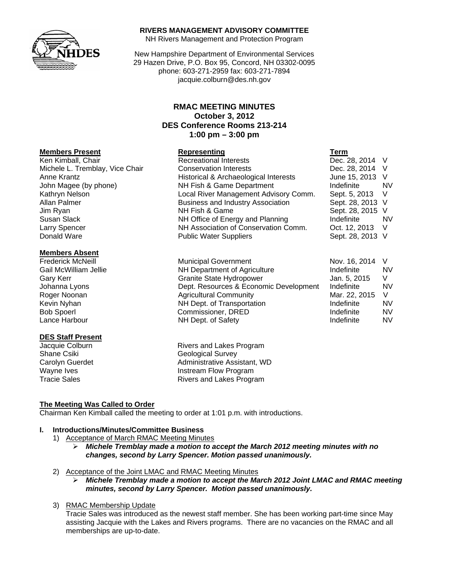

### **RIVERS MANAGEMENT ADVISORY COMMITTEE**

NH Rivers Management and Protection Program

New Hampshire Department of Environmental Services 29 Hazen Drive, P.O. Box 95, Concord, NH 03302-0095 phone: 603-271-2959 fax: 603-271-7894 jacquie.colburn@des.nh.gov

# **RMAC MEETING MINUTES October 3, 2012 DES Conference Rooms 213-214 1:00 pm – 3:00 pm**

#### **Members Present Representing Term**

Ken Kimball, Chair **Recreational Interests** Chair Dec. 28, 2014 V Michele L. Tremblay, Vice Chair Conservation Interests **Dec. 28, 2014** V<br>Anne Krantz Conservation & Archaeological Interests June 15, 2013 V Anne Krantz **Historical & Archaeological Interests** John Magee (by phone) **NH Fish & Game Department** Indefinite NV Kathryn Nelson **Local River Management Advisory Comm.** Sept. 5, 2013 V<br>Allan Palmer **Allan Palmer Community Association** Sept. 28, 2013 V

#### **Members Absent**

#### **DES Staff Present**

Business and Industry Association Sept. 28, 2013 V Jim Ryan NH Fish & Game Sept. 28, 2015 V Susan Slack **NH Office of Energy and Planning** Indefinite NV Larry Spencer **NH Association of Conservation Comm.** Oct. 12, 2013 V<br>Donald Ware **Nublic Water Suppliers** Sept. 28, 2013 V Public Water Suppliers Sept. 28, 2013 V Frederick McNeill **Frederick McNeill** Municipal Government Nov. 16, 2014 V

| <b>FIGUELICA IVICINEIII</b> | municipal Government                   | IVUV. 10, 2014 V |     |
|-----------------------------|----------------------------------------|------------------|-----|
| Gail McWilliam Jellie       | NH Department of Agriculture           | Indefinite       | NV. |
| Gary Kerr                   | Granite State Hydropower               | Jan. 5, 2015     | V   |
| Johanna Lyons               | Dept. Resources & Economic Development | Indefinite       | NV. |
| Roger Noonan                | <b>Agricultural Community</b>          | Mar. 22, 2015    | - V |
| Kevin Nyhan                 | NH Dept. of Transportation             | Indefinite       | NV. |
| <b>Bob Spoerl</b>           | Commissioner, DRED                     | Indefinite       | NV. |
| Lance Harbour               | NH Dept. of Safety                     | Indefinite       | NV  |
|                             |                                        |                  |     |

Jacquie Colburn **Rivers** and Lakes Program Shane Csiki Geological Survey Carolyn Guerdet **Administrative Assistant**, WD Wayne Ives **Instream Flow Program** Tracie Sales **Rivers** and Lakes Program

## **The Meeting Was Called to Order**

Chairman Ken Kimball called the meeting to order at 1:01 p.m. with introductions.

# **I. Introductions/Minutes/Committee Business**

- 1) Acceptance of March RMAC Meeting Minutes
	- ¾ *Michele Tremblay made a motion to accept the March 2012 meeting minutes with no changes, second by Larry Spencer. Motion passed unanimously.*
- 2) Acceptance of the Joint LMAC and RMAC Meeting Minutes

¾ *Michele Tremblay made a motion to accept the March 2012 Joint LMAC and RMAC meeting minutes, second by Larry Spencer. Motion passed unanimously.* 

3) RMAC Membership Update

Tracie Sales was introduced as the newest staff member. She has been working part-time since May assisting Jacquie with the Lakes and Rivers programs. There are no vacancies on the RMAC and all memberships are up-to-date.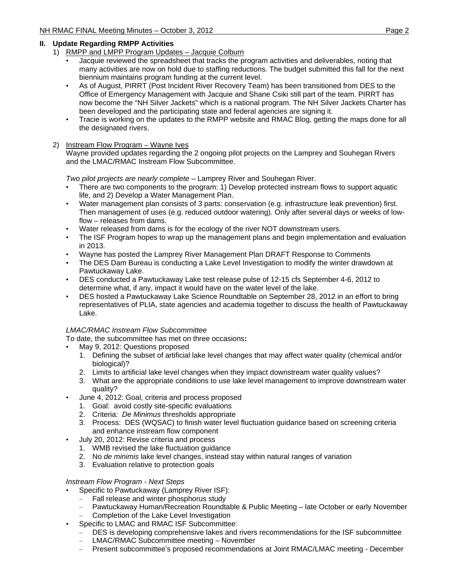## **II. Update Regarding RMPP Activities**

- 1) RMPP and LMPP Program Updates Jacquie Colburn
	- Jacquie reviewed the spreadsheet that tracks the program activities and deliverables, noting that many activities are now on hold due to staffing reductions. The budget submitted this fall for the next biennium maintains program funding at the current level.
	- As of August, PIRRT (Post Incident River Recovery Team) has been transitioned from DES to the Office of Emergency Management with Jacquie and Shane Csiki still part of the team. PIRRT has now become the "NH Silver Jackets" which is a national program. The NH Silver Jackets Charter has been developed and the participating state and federal agencies are signing it.
	- Tracie is working on the updates to the RMPP website and RMAC Blog, getting the maps done for all the designated rivers.

## 2) Instream Flow Program – Wayne Ives

Wayne provided updates regarding the 2 ongoing pilot projects on the Lamprey and Souhegan Rivers and the LMAC/RMAC Instream Flow Subcommittee.

*Two pilot projects are nearly complete* – Lamprey River and Souhegan River.

- There are two components to the program: 1) Develop protected instream flows to support aquatic life, and 2) Develop a Water Management Plan.
- Water management plan consists of 3 parts: conservation (e.g. infrastructure leak prevention) first. Then management of uses (e.g. reduced outdoor watering). Only after several days or weeks of lowflow – releases from dams.
- Water released from dams is for the ecology of the river NOT downstream users.
- The ISF Program hopes to wrap up the management plans and begin implementation and evaluation in 2013.
- Wayne has posted the Lamprey River Management Plan DRAFT Response to Comments
- The DES Dam Bureau is conducting a Lake Level Investigation to modify the winter drawdown at Pawtuckaway Lake.
- DES conducted a Pawtuckaway Lake test release pulse of 12-15 cfs September 4-6, 2012 to determine what, if any, impact it would have on the water level of the lake.
- DES hosted a Pawtuckaway Lake Science Roundtable on September 28, 2012 in an effort to bring representatives of PLIA, state agencies and academia together to discuss the health of Pawtuckaway Lake.

## *LMAC/RMAC Instream Flow Subcommittee*

To date, the subcommittee has met on three occasions**:**

- May 9, 2012: Questions proposed
	- 1. Defining the subset of artificial lake level changes that may affect water quality (chemical and/or biological)?
	- 2. Limits to artificial lake level changes when they impact downstream water quality values?
	- 3. What are the appropriate conditions to use lake level management to improve downstream water quality?
- June 4, 2012: Goal, criteria and process proposed
	- 1. Goal: avoid costly site-specific evaluations
	- 2. Criteria: *De Minimus* thresholds appropriate
	- 3. Process: DES (WQSAC) to finish water level fluctuation guidance based on screening criteria and enhance instream flow component
- July 20, 2012: Revise criteria and process
	- 1. WMB revised the lake fluctuation guidance
	- 2. No *de minimis* lake level changes, instead stay within natural ranges of variation
	- 3. Evaluation relative to protection goals

#### *Instream Flow Program - Next Steps*

- Specific to Pawtuckaway (Lamprey River ISF):
	- Fall release and winter phosphorus study
	- Pawtuckaway Human/Recreation Roundtable & Public Meeting late October or early November
	- Completion of the Lake Level Investigation
- Specific to LMAC and RMAC ISF Subcommittee:
	- DES is developing comprehensive lakes and rivers recommendations for the ISF subcommittee
	- LMAC/RMAC Subcommittee meeting November
	- Present subcommittee's proposed recommendations at Joint RMAC/LMAC meeting December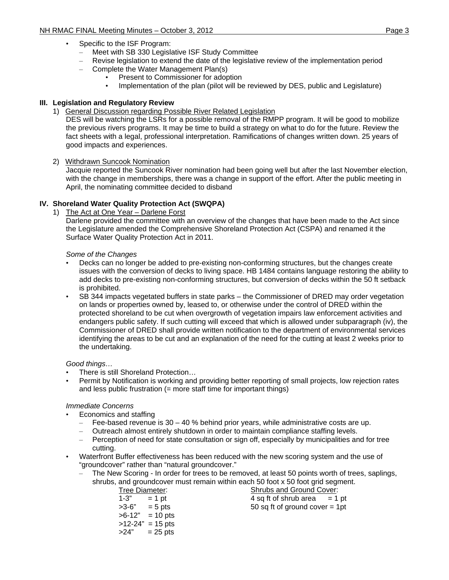- Specific to the ISF Program:
	- Meet with SB 330 Legislative ISF Study Committee
- Revise legislation to extend the date of the legislative review of the implementation period
- Complete the Water Management Plan(s)
	- Present to Commissioner for adoption
	- Implementation of the plan (pilot will be reviewed by DES, public and Legislature)

# **III. Legislation and Regulatory Review**

1) General Discussion regarding Possible River Related Legislation

DES will be watching the LSRs for a possible removal of the RMPP program. It will be good to mobilize the previous rivers programs. It may be time to build a strategy on what to do for the future. Review the fact sheets with a legal, professional interpretation. Ramifications of changes written down. 25 years of good impacts and experiences.

2) Withdrawn Suncook Nomination

Jacquie reported the Suncook River nomination had been going well but after the last November election, with the change in memberships, there was a change in support of the effort. After the public meeting in April, the nominating committee decided to disband

# **IV. Shoreland Water Quality Protection Act (SWQPA)**

## 1) The Act at One Year – Darlene Forst

Darlene provided the committee with an overview of the changes that have been made to the Act since the Legislature amended the Comprehensive Shoreland Protection Act (CSPA) and renamed it the Surface Water Quality Protection Act in 2011.

## *Some of the Changes*

- Decks can no longer be added to pre-existing non-conforming structures, but the changes create issues with the conversion of decks to living space. HB 1484 contains language restoring the ability to add decks to pre-existing non-conforming structures, but conversion of decks within the 50 ft setback is prohibited.
- SB 344 impacts vegetated buffers in state parks the Commissioner of DRED may order vegetation on lands or properties owned by, leased to, or otherwise under the control of DRED within the protected shoreland to be cut when overgrowth of vegetation impairs law enforcement activities and endangers public safety. If such cutting will exceed that which is allowed under subparagraph (iv), the Commissioner of DRED shall provide written notification to the department of environmental services identifying the areas to be cut and an explanation of the need for the cutting at least 2 weeks prior to the undertaking.

## *Good things…*

- There is still Shoreland Protection…
- Permit by Notification is working and providing better reporting of small projects, low rejection rates and less public frustration (= more staff time for important things)

## *Immediate Concerns*

- Economics and staffing
	- Fee-based revenue is  $30 40$  % behind prior years, while administrative costs are up.
	- Outreach almost entirely shutdown in order to maintain compliance staffing levels.
	- Perception of need for state consultation or sign off, especially by municipalities and for tree cutting.
- Waterfront Buffer effectiveness has been reduced with the new scoring system and the use of "groundcover" rather than "natural groundcover."
	- The New Scoring In order for trees to be removed, at least 50 points worth of trees, saplings, shrubs, and groundcover must remain within each 50 foot x 50 foot grid segment.

| Tree Diameter: |            |  |  |
|----------------|------------|--|--|
| 1-3"           | = 1 pt     |  |  |
| >3-6"          | $= 5$ pts  |  |  |
| >6-12"         | $= 10$ pts |  |  |
| >12-24"        | $= 15$ pts |  |  |
| >24"           | $= 25$ pts |  |  |

Shrubs and Ground Cover:  $4$  sq ft of shrub area  $= 1$  pt  $50$  sq ft of ground cover = 1pt